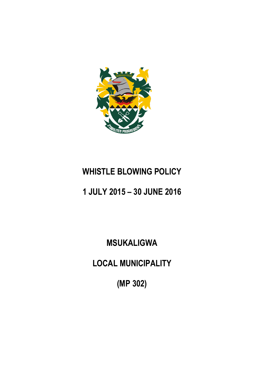

# **WHISTLE BLOWING POLICY**

# **1 JULY 2015 – 30 JUNE 2016**

**MSUKALIGWA**

**LOCAL MUNICIPALITY**

**(MP 302)**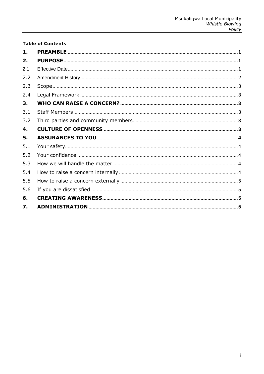# **Table of Contents**

| $\mathbf{1}$ . |  |
|----------------|--|
| 2.             |  |
| 2.1            |  |
| 2.2            |  |
| 2.3            |  |
| 2.4            |  |
| 3.             |  |
| 3.1            |  |
| 3.2            |  |
| 4.             |  |
| 5.             |  |
| 5.1            |  |
| 5.2            |  |
| 5.3            |  |
| 5.4            |  |
| 5.5            |  |
| 5.6            |  |
| 6.             |  |
| 7.             |  |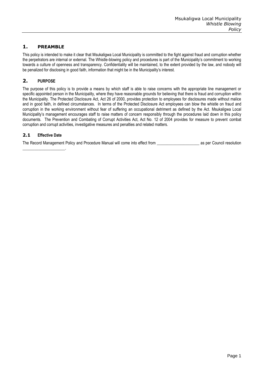# <span id="page-2-0"></span>**1. PREAMBLE**

This policy is intended to make it clear that Msukaligwa Local Municipality is committed to the fight against fraud and corruption whether the perpetrators are internal or external. The Whistle-blowing policy and procedures is part of the Municipality's commitment to working towards a culture of openness and transparency. Confidentiality will be maintained, to the extent provided by the law, and nobody will be penalized for disclosing in good faith, information that might be in the Municipality's interest.

## <span id="page-2-1"></span>**2. PURPOSE**

The purpose of this policy is to provide a means by which staff is able to raise concerns with the appropriate line management or specific appointed person in the Municipality, where they have reasonable grounds for believing that there is fraud and corruption within the Municipality. The Protected Disclosure Act, Act 26 of 2000, provides protection to employees for disclosures made without malice and in good faith, in defined circumstances. In terms of the Protected Disclosure Act employees can blow the whistle on fraud and corruption in the working environment without fear of suffering an occupational detriment as defined by the Act. Msukaligwa Local Municipality's management encourages staff to raise matters of concern responsibly through the procedures laid down in this policy documents. The Prevention and Combating of Corrupt Activities Act, Act No. 12 of 2004 provides for measure to prevent combat corruption and corrupt activities, investigative measures and penalties and related matters.

## <span id="page-2-2"></span>**2.1 Effective Date**

\_\_\_\_\_\_\_\_\_\_\_\_\_\_\_\_\_\_\_\_\_.

The Record Management Policy and Procedure Manual will come into effect from \_\_\_\_\_\_\_\_\_\_\_\_\_\_\_\_\_\_\_\_\_\_\_\_\_\_\_\_\_\_\_\_\_ as per Council resolution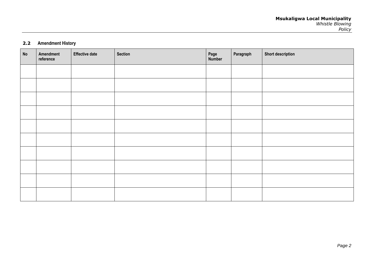## **2.2 Amendment History**

<span id="page-3-0"></span>

| No | Amendment<br>reference | <b>Effective date</b> | Section | Page<br>Number | Paragraph | <b>Short description</b> |
|----|------------------------|-----------------------|---------|----------------|-----------|--------------------------|
|    |                        |                       |         |                |           |                          |
|    |                        |                       |         |                |           |                          |
|    |                        |                       |         |                |           |                          |
|    |                        |                       |         |                |           |                          |
|    |                        |                       |         |                |           |                          |
|    |                        |                       |         |                |           |                          |
|    |                        |                       |         |                |           |                          |
|    |                        |                       |         |                |           |                          |
|    |                        |                       |         |                |           |                          |
|    |                        |                       |         |                |           |                          |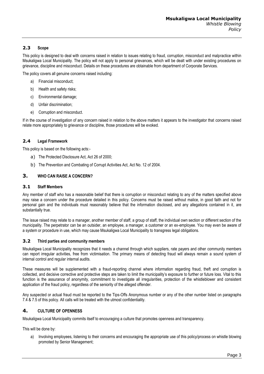## <span id="page-4-0"></span>**2.3 Scope**

This policy is designed to deal with concerns raised in relation to issues relating to fraud, corruption, misconduct and malpractice within Msukaligwa Local Municipality. The policy will not apply to personal grievances, which will be dealt with under existing procedures on grievance, discipline and misconduct. Details on these procedures are obtainable from department of Corporate Services.

The policy covers all genuine concerns raised including:

- a) Financial misconduct;
- b) Health and safety risks;
- c) Environmental damage;
- d) Unfair discrimination;
- e) Corruption and misconduct.

If in the course of investigation of any concern raised in relation to the above matters it appears to the investigator that concerns raised relate more appropriately to grievance or discipline, those procedures will be evoked.

#### <span id="page-4-1"></span>**2.4 Legal Framework**

This policy is based on the following acts:-

- a) The Protected Disclosure Act, Act 26 of 2000;
- b) The Prevention and Combating of Corrupt Activities Act, Act No. 12 of 2004.

#### <span id="page-4-2"></span>**3. WHO CAN RAISE A CONCERN?**

#### <span id="page-4-3"></span>**3.1 Staff Members**

Any member of staff who has a reasonable belief that there is corruption or misconduct relating to any of the matters specified above may raise a concern under the procedure detailed in this policy. Concerns must be raised without malice, in good faith and not for personal gain and the individuals must reasonably believe that the information disclosed, and any allegations contained in it, are substantially true.

The issue raised may relate to a manager, another member of staff, a group of staff, the individual own section or different section of the municipality. The perpetrator can be an outsider, an employee, a manager, a customer or an ex-employee. You may even be aware of a system or procedure in use, which may cause Msukaligwa Local Municipality to transgress legal obligations.

### <span id="page-4-4"></span>**3.2 Third parties and community members**

Msukaligwa Local Municipality recognizes that it needs a channel through which suppliers, rate payers and other community members can report irregular activities, free from victimisation. The primary means of detecting fraud will always remain a sound system of internal control and regular internal audits.

These measures will be supplemented with a fraud-reporting channel where information regarding fraud, theft and corruption is collected, and decisive corrective and protective steps are taken to limit the municipality's exposure to further or future loss. Vital to this function is the assurance of anonymity, commitment to investigate all irregularities, protection of the whistleblower and consistent application of the fraud policy, regardless of the seniority of the alleged offender.

Any suspected or actual fraud must be reported to the Tips-Offs Anonymous number or any of the other number listed on paragraphs 7.4 & 7.5 of this policy. All calls will be treated with the utmost confidentiality.

## <span id="page-4-5"></span>**4. CULTURE OF OPENNESS**

Msukaligwa Local Municipality commits itself to encouraging a culture that promotes openness and transparency.

This will be done by:

a) Involving employees, listening to their concerns and encouraging the appropriate use of this policy/process on whistle blowing promoted by Senior Management;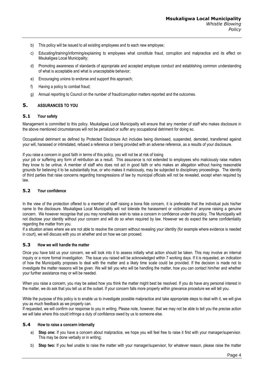- b) This policy will be issued to all existing employees and to each new employee;
- c) Educating/training/informing/explaining to employees what constitute fraud, corruption and malpractice and its effect on Msukaligwa Local Municipality;
- d) Promoting awareness of standards of appropriate and accepted employee conduct and establishing common understanding of what is acceptable and what is unacceptable behavior;
- e) Encouraging unions to endorse and support this approach;
- f) Having a policy to combat fraud;
- g) Annual reporting to Council on the number of fraud/corruption matters reported and the outcomes.

### <span id="page-5-0"></span>**5. ASSURANCES TO YOU**

#### <span id="page-5-1"></span>**5.1 Your safety**

Management is committed to this policy. Msukaligwa Local Municipality will ensure that any member of staff who makes disclosure in the above mentioned circumstances will not be penalized or suffer any occupational detriment for doing so.

Occupational detriment as defined by Protected Disclosure Act includes being dismissed, suspended, demoted, transferred against your will, harassed or intimidated, refused a reference or being provided with an adverse reference, as a results of your disclosure.

#### If you raise a concern in good faith in terms of this policy, you will not be at risk of losing

your job or suffering any form of retribution as a result. This assurance is not extended to employees who maliciously raise matters they know to be untrue. A member of staff who does not act in good faith or who makes an allegation without having reasonable grounds for believing it to be substantially true, or who makes it maliciously, may be subjected to disciplinary proceedings. The identity of third parties that raise concerns regarding transgressions of law by municipal officials will not be revealed, except when required by law.

#### <span id="page-5-2"></span>**5.2 Your confidence**

In the view of the protection offered to a member of staff raising a bona fide concern, it is preferable that the individual puts his/her name to the disclosure. Msukaligwa Local Municipality will not tolerate the harassment or victimization of anyone raising a genuine concern. We however recognise that you may nonetheless wish to raise a concern in confidence under this policy. The Municipality will not disclose your identity without your concern and will do so when required by law. However we do expect the same confidentiality regarding the matter from you.

If a situation arises where we are not able to resolve the concern without revealing your identity (for example where evidence is needed in court), we will discuss with you on whether and on how we can proceed.

#### <span id="page-5-3"></span>**5.3 How we will handle the matter**

Once you have told us your concern, we will look into it to assess initially what action should be taken. This may involve an internal inquiry or a more formal investigation. The issue you raised will be acknowledged within 7 working days. If it is requested, an indication of how the Municipality proposes to deal with the matter and a likely time scale could be provided. If the decision is made not to investigate the matter reasons will be given. We will tell you who will be handling the matter, how you can contact him/her and whether your further assistance may or will be needed.

When you raise a concern, you may be asked how you think the matter might best be resolved. If you do have any personal interest in the matter, we do ask that you tell us at the outset. If your concern falls more properly within grievance procedure we will tell you.

While the purpose of this policy is to enable us to investigate possible malpractice and take appropriate steps to deal with it, we will give you as much feedback as we properly can.

If requested, we will confirm our response to you in writing. Please note, however, that we may not be able to tell you the precise action we will take where this could infringe a duty of confidence owed by us to someone else.

#### <span id="page-5-4"></span>**5.4 How to raise a concern internally**

- a) **Step one:** If you have a concern about malpractice, we hope you will feel free to raise it first with your manager/supervisor. This may be done verbally or in writing;
- b) **Step two:** If you feel unable to raise the matter with your manager/supervisor, for whatever reason, please raise the matter